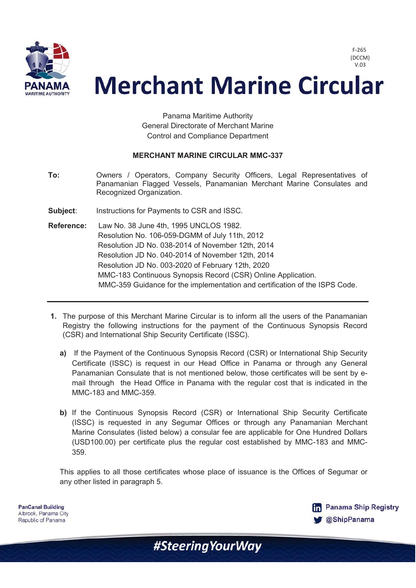

F-265 (DCCM) V.03

## **Merchant Marine Circular**

Panama Maritime Authority General Directorate of Merchant Marine Control and Compliance Department

## **MERCHANT MARINE CIRCULAR MMC-337**

- **To:** Owners / Operators, Company Security Officers, Legal Representatives of Panamanian Flagged Vessels, Panamanian Merchant Marine Consulates and Recognized Organization.
- **Subject:** Instructions for Payments to CSR and ISSC.
- **Reference:** Law No. 38 June 4th, 1995 UNCLOS 1982. Resolution No. 106-059-DGMM of July 11th, 2012 Resolution JD No. 038-2014 of November 12th, 2014 Resolution JD No. 040-2014 of November 12th, 2014 Resolution JD No. 003-2020 of February 12th, 2020 MMC-183 Continuous Synopsis Record (CSR) Online Application. MMC-359 Guidance for the implementation and certification of the ISPS Code.
- **1.** The purpose of this Merchant Marine Circular is to inform all the users of the Panamanian Registry the following instructions for the payment of the Continuous Synopsis Record (CSR) and International Ship Security Certificate (ISSC).
	- **a)** If the Payment of the Continuous Synopsis Record (CSR) or International Ship Security Certificate (ISSC) is request in our Head Office in Panama or through any General Panamanian Consulate that is not mentioned below, those certificates will be sent by email through the Head Office in Panama with the regular cost that is indicated in the MMC-183 and MMC-359.
	- **b)** If the Continuous Synopsis Record (CSR) or International Ship Security Certificate (ISSC) is requested in any Segumar Offices or through any Panamanian Merchant Marine Consulates (listed below) a consular fee are applicable for One Hundred Dollars (USD100.00) per certificate plus the regular cost established by MMC-183 and MMC-359.

This applies to all those certificates whose place of issuance is the Offices of Segumar or any other listed in paragraph 5.

**PanCanal Building** Albrook, Panama City Republic of Panama

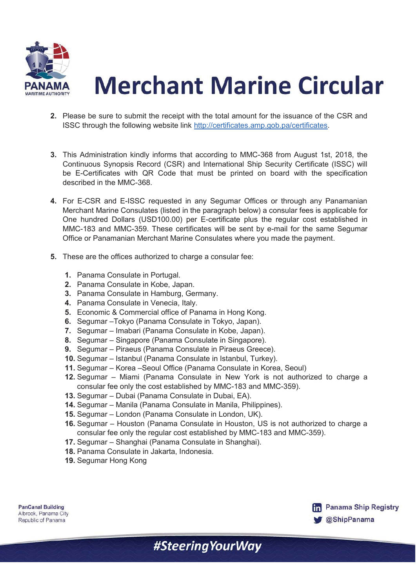

## **Merchant Marine Circular**

- **2.** Please be sure to submit the receipt with the total amount for the issuance of the CSR and ISSC through the following website link http://certificates.amp.gob.pa/certificates.
- **3.** This Administration kindly informs that according to MMC-368 from August 1st, 2018, the Continuous Synopsis Record (CSR) and International Ship Security Certificate (ISSC) will be E-Certificates with QR Code that must be printed on board with the specification described in the MMC-368.
- **4.** For E-CSR and E-ISSC requested in any Segumar Offices or through any Panamanian Merchant Marine Consulates (listed in the paragraph below) a consular fees is applicable for One hundred Dollars (USD100.00) per E-certificate plus the regular cost established in MMC-183 and MMC-359. These certificates will be sent by e-mail for the same Segumar Office or Panamanian Merchant Marine Consulates where you made the payment.
- **5.** These are the offices authorized to charge a consular fee:
	- **1.** Panama Consulate in Portugal.
	- **2.** Panama Consulate in Kobe, Japan.
	- **3.** Panama Consulate in Hamburg, Germany.
	- **4.** Panama Consulate in Venecia, Italy.
	- **5.** Economic & Commercial office of Panama in Hong Kong.
	- **6.** Segumar –Tokyo (Panama Consulate in Tokyo, Japan).
	- **7.** Segumar Imabari (Panama Consulate in Kobe, Japan).
	- **8.** Segumar Singapore (Panama Consulate in Singapore).
	- **9.** Segumar Piraeus (Panama Consulate in Piraeus Greece).
	- **10.** Segumar Istanbul (Panama Consulate in Istanbul, Turkey).
	- **11.** Segumar Korea –Seoul Office (Panama Consulate in Korea, Seoul)
	- **12.** Segumar Miami (Panama Consulate in New York is not authorized to charge a consular fee only the cost established by MMC-183 and MMC-359).
	- **13.** Segumar Dubai (Panama Consulate in Dubai, EA).
	- **14.** Segumar Manila (Panama Consulate in Manila, Philippines).
	- **15.** Segumar London (Panama Consulate in London, UK).
	- **16.** Segumar Houston (Panama Consulate in Houston, US is not authorized to charge a consular fee only the regular cost established by MMC-183 and MMC-359).
	- **17.** Segumar Shanghai (Panama Consulate in Shanghai).
	- **18.** Panama Consulate in Jakarta, Indonesia.
	- **19.** Segumar Hong Kong



**PanCanal Building** Albrook, Panama City Republic of Panama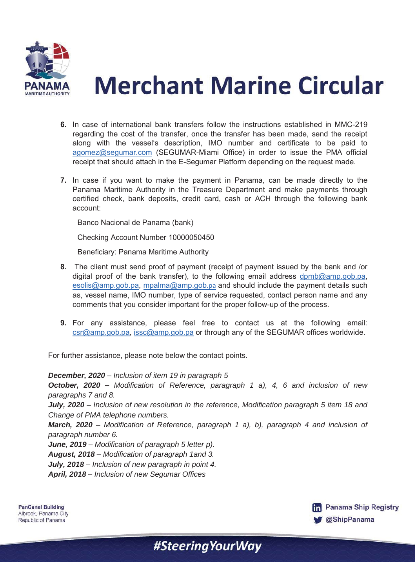



- **6.** In case of international bank transfers follow the instructions established in MMC-219 regarding the cost of the transfer, once the transfer has been made, send the receipt along with the vessel's description, IMO number and certificate to be paid to agomez@segumar.com (SEGUMAR-Miami Office) in order to issue the PMA official receipt that should attach in the E-Segumar Platform depending on the request made.
- **7.** In case if you want to make the payment in Panama, can be made directly to the Panama Maritime Authority in the Treasure Department and make payments through certified check, bank deposits, credit card, cash or ACH through the following bank account:

Banco Nacional de Panama (bank)

Checking Account Number 10000050450

Beneficiary: Panama Maritime Authority

- **8.** The client must send proof of payment (receipt of payment issued by the bank and /or digital proof of the bank transfer), to the following email address dpmb@amp.gob.pa, esolis@amp.gob.pa, mpalma@amp.gob.pa and should include the payment details such as, vessel name, IMO number, type of service requested, contact person name and any comments that you consider important for the proper follow-up of the process.
- **9.** For any assistance, please feel free to contact us at the following email: csr@amp.gob.pa, issc@amp.gob.pa or through any of the SEGUMAR offices worldwide.

For further assistance, please note below the contact points.

*December, 2020 – Inclusion of item 19 in paragraph 5* 

*October, 2020 – Modification of Reference, paragraph 1 a), 4, 6 and inclusion of new paragraphs 7 and 8.* 

*July, 2020 – Inclusion of new resolution in the reference, Modification paragraph 5 item 18 and Change of PMA telephone numbers.* 

*March, 2020 – Modification of Reference, paragraph 1 a), b), paragraph 4 and inclusion of paragraph number 6.* 

*June, 2019 – Modification of paragraph 5 letter p).* 

*August, 2018 – Modification of paragraph 1and 3.* 

*July, 2018 – Inclusion of new paragraph in point 4.* 

*April, 2018 – Inclusion of new Segumar Offices* 

**PanCanal Building** Albrook, Panama City Republic of Panama